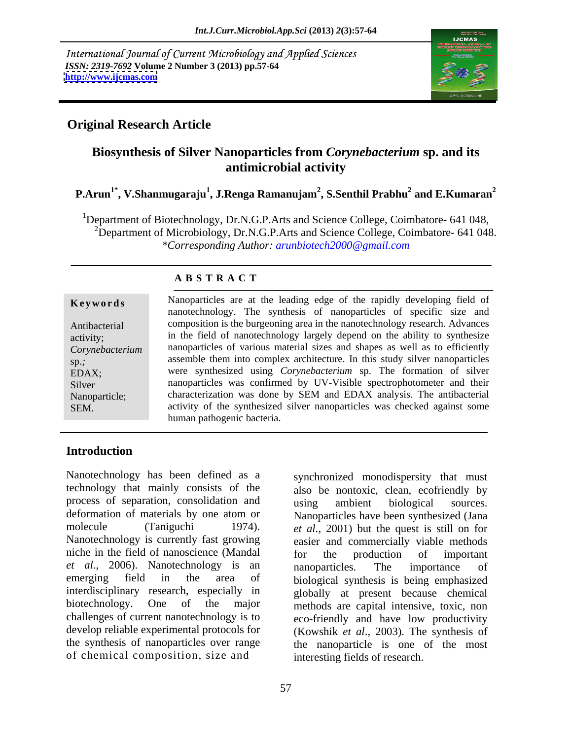International Journal of Current Microbiology and Applied Sciences *ISSN: 2319-7692* **Volume 2 Number 3 (2013) pp.57-64 <http://www.ijcmas.com>** 



# **Original Research Article**

# **Biosynthesis of Silver Nanoparticles from** *Corynebacterium* **sp. and its antimicrobial activity**

### **P.Arun1\* , V.Shanmugaraju<sup>1</sup> , J.Renga Ramanujam<sup>2</sup> , S.Senthil Prabhu<sup>2</sup> and E.Kumaran<sup>2</sup>**

<sup>1</sup>Department of Biotechnology, Dr.N.G.P.Arts and Science College, Coimbatore- 641 048,  $^{2}$ Department of Microbiology, Dr.N.G.P.Arts and Science College, Coimbatore- 641 048. *\*Corresponding Author: arunbiotech2000@gmail.com*

### **A B S T R A C T**

**Keywords** Nanoparticles are at the leading edge of the rapidly developing field of Antibacterial composition is the burgeoning area in the nanotechnology research. Advances activity; in the field of nanotechnology largely depend on the ability to synthesize *Corynebacterium*  nanoparticles of various material sizes and shapes as well as to efficiently sp.; assemble them into complex architecture. In this study silver nanoparticles EDAX; were synthesized using *Corynebacterium* sp. The formation of silver Silver nanoparticles was confirmed by UV-Visible spectrophotometer and their Nanoparticle; characterization was done by SEM and EDAX analysis. The antibacterial **Keywords**<br>
Manoparticles are at the leading edge of the rapidly developing field of<br>
nanotechnology. The synthesis of nanoparticles of specific size and<br>
composition is the burgeoning area in the nanotechnology research. nanotechnology. The synthesis of nanoparticles of specific size and activity of the synthesized silver nanoparticles was checked against some human pathogenic bacteria.

# **Introduction**

Nanotechnology has been defined as a synchronized monodispersity that must technology that mainly consists of the process of separation, consolidation and using ambient biological sources. deformation of materials by one atom or Nanoparticles have been synthesized (Jana molecule (Taniguchi 1974). *et al.,* 2001) but the quest is still on for Nanotechnology is currently fast growing easier and commercially viable methods niche in the field of nanoscience (Mandal *et al*., 2006). Nanotechnology is an emerging field in the area of biological synthesis is being emphasized interdisciplinary research, especially in biotechnology. One of the major methods are capital intensive, toxic, non challenges of current nanotechnology is to eco-friendly and have low productivity develop reliable experimental protocols for (Kowshik *et al*., 2003).The synthesis of the synthesis of nanoparticles over range the nanoparticle is one of the most of chemical composition, size and

also be nontoxic, clean, ecofriendly by using ambient biological sources. for the production of important nanoparticles. The importance of globally at present because chemical interesting fields of research.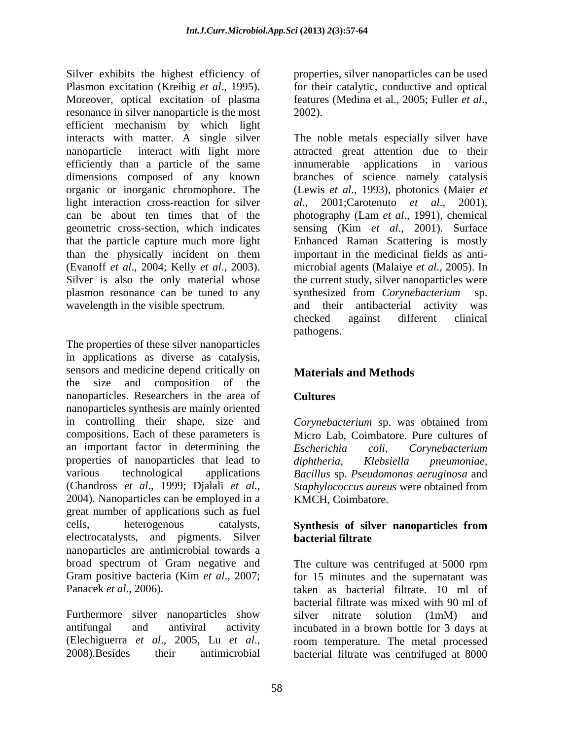Silver exhibits the highest efficiency of properties, silver nanoparticles can be used Plasmon excitation (Kreibig *et al*., 1995). for their catalytic, conductive and optical Moreover, optical excitation of plasma features (Medina et al., 2005; Fuller et al., resonance in silver nanoparticle is the most 2002). efficient mechanism by which light interacts with matter. A single silver The noble metals especially silver have nanoparticle interact with light more attracted great attention due to their efficiently than a particle of the same dimensions composed of any known branches of science namely catalysis organic or inorganic chromophore. The (Lewis *et al*., 1993), photonics (Maier *et*  light interaction cross-reaction for silver  $al.$ , 2001; Carotenuto *et al.*, 2001), can be about ten times that of the photography (Lam *et al*., 1991), chemical geometric cross-section, which indicates sensing (Kim *et al*., 2001). Surface that the particle capture much more light than the physically incident on them (Evanoff *et al*., 2004; Kelly *et al*., 2003). microbial agents (Malaiye *et al*., 2005). In Silver is also the only material whose the current study, silver nanoparticles were plasmon resonance can be tuned to any synthesized from *Corynebacterium* sp. wavelength in the visible spectrum. The and their antibacterial activity was

The properties of these silver nanoparticles in applications as diverse as catalysis, sensors and medicine depend critically on **Materials and Methods** the size and composition of the nanoparticles. Researchers in the area of nanoparticles synthesis are mainly oriented in controlling their shape, size and Corynebacterium sp. was obtained from compositions. Each of these parameters is an important factor in determining the Escherichia coli. Corvnebacterium properties of nanoparticles that lead to *diphtheria*, *Klebsiella pneumoniae*, various technological applications *Bacillus* sp. *Pseudomonas aeruginosa* and various technological applications *Bacillus* sp. *Pseudomonas aeruginosa* and (Chandross *et al.*, 1999; Djalali *et al.*, *Staphylococcus aureus* were obtained from 2004). Nanoparticles can be employed in a KMCH, Coimbatore. great number of applications such as fuel cells, heterogenous catalysts, **Synthesis of silver nanoparticles from** electrocatalysts, and pigments. Silver nanoparticles are antimicrobial towards a broad spectrum of Gram negative and The culture was centrifuged at 5000 rpm Gram positive bacteria (Kim *et al*., 2007; for 15 minutes and the supernatant was

Furthermore silver nanoparticles show silver nitrate solution (1mM) and

features (Medina et al., 2005; Fuller *et al*., 2002).

applications in various *al*., 2001;Carotenuto *et al*., 2001), Enhanced Raman Scattering is mostly important in the medicinal fields as anti synthesized from *Corynebacterium* sp. and their antibacterial activity was checked against different clinical pathogens.

# **Materials and Methods**

# **Cultures**

*Corynebacterium* sp. was obtained from Micro Lab, Coimbatore. Pure cultures of *Escherichia coli, Corynebacterium diphtheria, Klebsiella pneumoniae, Staphylococcus aureus* were obtained from KMCH, Coimbatore.

### **Synthesis of silver nanoparticles from bacterial filtrate**

Panacek *et al*., 2006). taken as bacterial filtrate. 10 ml of antifungal and antiviral activity incubated in a brown bottle for 3 days at (Elechiguerra *et al*., 2005, Lu *et al*., 2008).Besides their antimicrobial bacterial filtrate was mixed with 90 ml of silver nitrate solution (1mM) and room temperature. The metal processed bacterial filtrate was centrifuged at 8000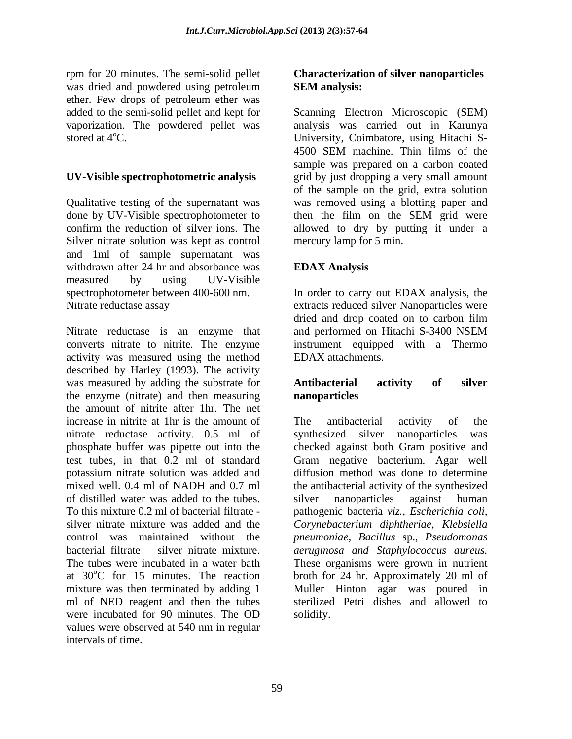rpm for 20 minutes. The semi-solid pellet was dried and powdered using petroleum **SEM analysis:** ether. Few drops of petroleum ether was

Qualitative testing of the supernatant was done by UV-Visible spectrophotometer to then the film on the SEM grid were confirm the reduction of silver ions. The allowed to dry by putting it under a Silver nitrate solution was kept as control and 1ml of sample supernatant was withdrawn after 24 hr and absorbance was **EDAX Analysis** measured by using UV-Visible spectrophotometer between 400-600 nm. In order to carry out EDAX analysis, the

Nitrate reductase is an enzyme that and performed on Hitachi S-3400 NSEM converts nitrate to nitrite. The enzyme instrument equipped with a Thermo activity was measured using the method described by Harley (1993). The activity was measured by adding the substrate for **Antibacterial activity of silver** the enzyme (nitrate) and then measuring **nanoparticles** the amount of nitrite after 1hr. The net increase in nitrite at 1hr is the amount of The antibacterial activity of the nitrate reductase activity. 0.5 ml of synthesized silver nanoparticles was phosphate buffer was pipette out into the checked against both Gram positive and test tubes, in that 0.2 ml of standard Gram negative bacterium. Agar well potassium nitrate solution was added and mixed well. 0.4 ml of NADH and 0.7 ml the antibacterial activity of the synthesized of distilled water was added to the tubes. To this mixture 0.2 ml of bacterial filtrate - pathogenic bacteria *viz., Escherichia coli,* silver nitrate mixture was added and the *Corynebacterium diphtheriae, Klebsiella* control was maintained without the *pneumoniae, Bacillus* sp.*, Pseudomonas* bacterial filtrate – silver nitrate mixture. *aeruginosa and Staphylococcus aureus*. The tubes were incubated in a water bath These organisms were grown in nutrient at  $30^{\circ}$ C for 15 minutes. The reaction broth for 24 hr. Approximately 20 ml of mixture was then terminated by adding 1 ml of NED reagent and then the tubes sterilized Petri dishes and allowed to were incubated for 90 minutes. The OD values were observed at 540 nm in regular intervals of time.

### **Characterization of silver nanoparticles SEM analysis:**

added to the semi-solid pellet and kept for Scanning Electron Microscopic (SEM) vaporization. The powdered pellet was analysis was carried out in Karunya stored at 4<sup>o</sup>C. University, Coimbatore, using Hitachi S-**UV-Visible spectrophotometric analysis** grid by just dropping a very small amount confirm the reduction of silver ions. The allowed to dry by putting it under a 4500 SEM machine. Thin films of the sample was prepared on a carbon coated of the sample on the grid, extra solution was removed using a blotting paper and then the film on the SEM grid were mercury lamp for 5 min.

# **EDAX Analysis**

Nitrate reductase assay extracts reduced silver Nanoparticles were dried and drop coated on to carbon film and performed on Hitachi S-3400 NSEM EDAX attachments.

### **Antibacterial activity of silver nanoparticles**

The antibacterial activity of the synthesized silver nanoparticles was diffusion method was done to determine silver nanoparticles against human Muller Hinton agar was poured in solidify.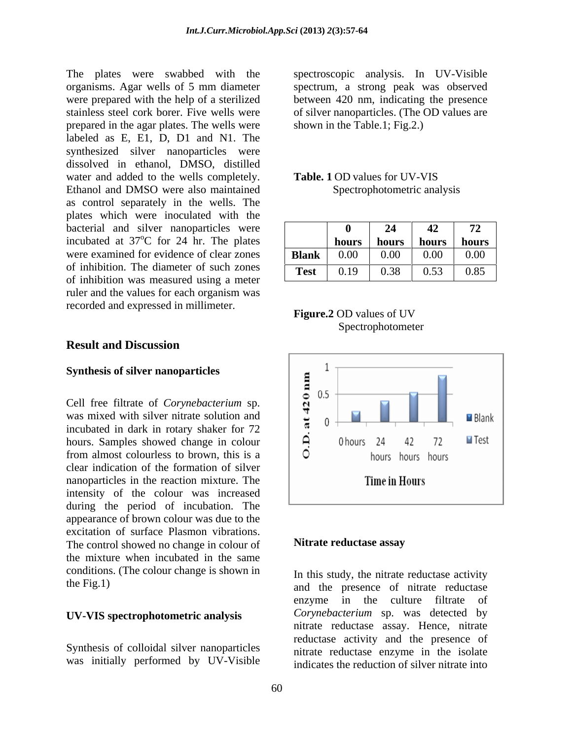The plates were swabbed with the spectroscopic analysis. In UV-Visible organisms. Agar wells of 5 mm diameter spectrum, a strong peak was observed were prepared with the help of a sterilized between 420 nm, indicating the presence stainless steel cork borer. Five wells were of silver nanoparticles. (The OD values are prepared in the agar plates. The wells were labeled as E, E1, D, D1 and N1. The synthesized silver nanoparticles were dissolved in ethanol, DMSO, distilled water and added to the wells completely. Table. 1 OD values for UV-VIS Ethanol and DMSO were also maintained as control separately in the wells. The plates which were inoculated with the bacterial and silver nanoparticles were incubated at 37<sup>o</sup>C for 24 hr. The plates were examined for evidence of clear zones of inhibition. The diameter of such zones of inhibition was measured using a meter ruler and the values for each organism was recorded and expressed in millimeter.

**Synthesis of silver nanoparticles**<br>
Cell free filtrate of *Corynebacterium* sp.<br>
was mixed with silver nitrate solution and<br>
incubated in dark in rotary shaker for 72<br>
hours. Samples showed change in colour<br>
from almost c Cell free filtrate of *Corynebacterium* sp. hours. Samples showed change in colour  $\Box$   $\Box$  0 hours 24 42 72 from almost colourless to brown, this is a  $\Box$   $\Box$  hours hours hours clear indication of the formation of silver nanoparticles in the reaction mixture. The **Time in Hours** intensity of the colour was increased during the period of incubation. The appearance of brown colour was due to the excitation of surface Plasmon vibrations.<br>The control showed no change in colour of **Nitrate reductase assay** The control showed no change in colour of the mixture when incubated in the same conditions. (The colour change is shown in

### **UV-VIS spectrophotometric analysis**

Synthesis of colloidal silver nanoparticles was initially performed by UV-Visible shown in the Table.1; Fig.2.)

### **Table. 1** OD values for UV-VIS Spectrophotometric analysis

| $H^A$                                                                                     |
|-------------------------------------------------------------------------------------------|
| ilver nanoparticles were<br>12                                                            |
| °C for 24 hr. The plates<br>hours<br>hours<br>hours  <br>hours                            |
| 0.00<br>for evidence of clear zones<br>0.00<br>0.00<br>0.00<br><b>Blank</b>               |
| e diameter of such zones<br>0.85<br>0.38<br>$\sim$ $ \sim$<br>0.19<br><b>Test</b><br>0.53 |

### **Figure.2** OD values of UV Spectrophotometer



### **Nitrate reductase assay**

the Fig.1) and the presence of nitrate reductase In this study, the nitrate reductase activity enzyme in the culture filtrate of *Corynebacterium* sp. was detected by nitrate reductase assay. Hence, nitrate reductase activity and the presence of nitrate reductase enzyme in the isolate indicates the reduction of silver nitrate into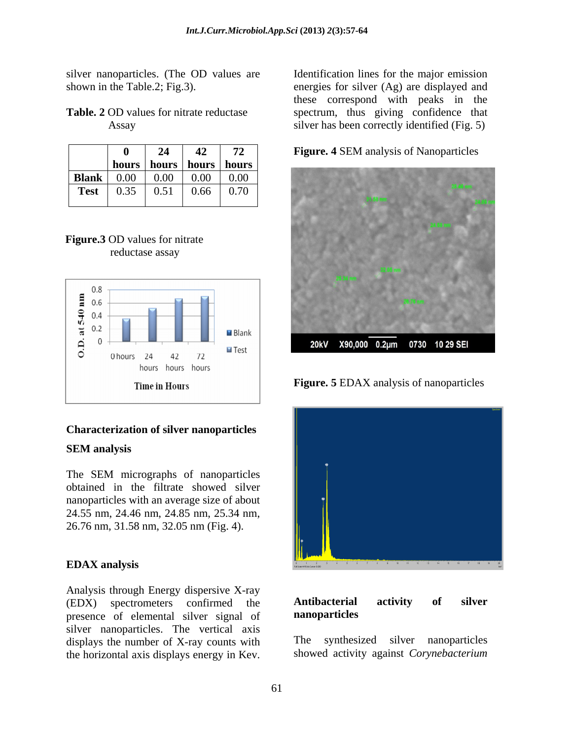silver nanoparticles. (The OD values are

|              | o     | 24    | 42    | 72    |
|--------------|-------|-------|-------|-------|
|              | hours | hours | hours | hours |
| <b>Blank</b> | 0.00  | 0.00  | 0.00  | 0.00  |
| <b>Test</b>  | 0.35  | 0.51  | 0.66  | 0.70  |
|              |       |       |       |       |

# **Figure.3** OD values for nitrate



### **Characterization of silver nanoparticles**

obtained in the filtrate showed silver nanoparticles with an average size of about 24.55 nm, 24.46 nm, 24.85 nm, 25.34 nm, 26.76 nm, 31.58 nm, 32.05 nm (Fig. 4).

Analysis through Energy dispersive X-ray<br>
(EDX) spectrometers confirmed the **Antibacterial activity of silver** (EDX) spectrometers confirmed the **Antibacterial**<br>presence of elemental silver signal of **nanoparticles** presence of elemental silver signal of silver nanoparticles. The vertical axis displays the number of X-ray counts with The synthesized silver nanoparticles the horizontal axis displays energy in Kev.

shown in the Table.2; Fig.3). energies for silver (Ag) are displayed and **Table. 2** OD values for nitrate reductase spectrum, thus giving confidence that Assay silver has been correctly identified (Fig. 5) Identification lines for the major emission these correspond with peaks in the





**Figure. 5** EDAX analysis of nanoparticles



### **Antibacterial activity of silver nanoparticles**

The synthesized silver showed activity against *Corynebacterium*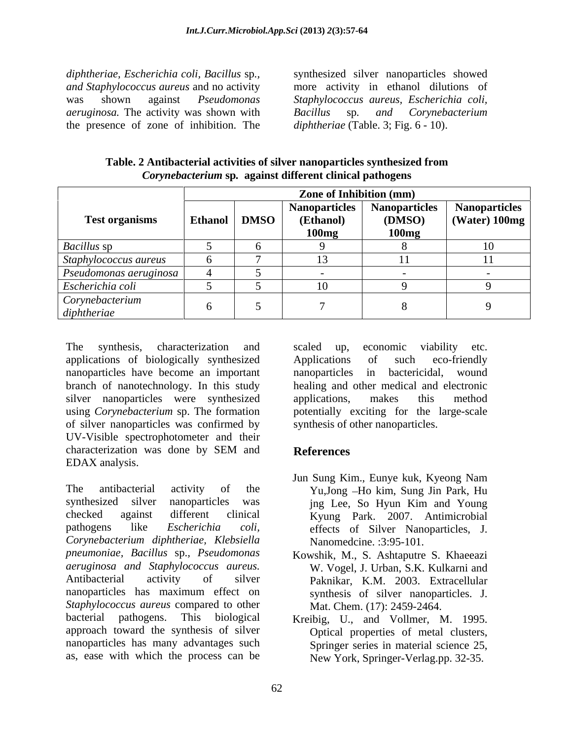*diphtheriae, Escherichia coli, Bacillus* sp*., and Staphylococcus aureus* and no activity was shown against *Pseudomonas Staphylococcus aureus, Escherichia coli, aeruginosa.* The activity was shown with the presence of zone of inhibition. The

synthesized silver nanoparticles showed more activity in ethanol dilutions of *Bacillus* sp*. and Corynebacterium diphtheriae* (Table. 3; Fig. 6 - 10).

| Table. 2<br>*hesized from<br>r nanoparticles svnth<br>Antibacterial<br>activities o<br>of silve |
|-------------------------------------------------------------------------------------------------|
| against different clinical pathogens<br><i>corvnebacter</i><br>$\sim$ uclerium sp $\sim$        |

|                                | <b>Zone of Inhibition (mm)</b> |                |                    |                        |                                                                    |
|--------------------------------|--------------------------------|----------------|--------------------|------------------------|--------------------------------------------------------------------|
| <b>Test organisms</b>          |                                | Ethanol   DMSO | (Ethanol)<br>100mg | (DMSO)<br><b>100mg</b> | Nanoparticles   Nanoparticles   Nanoparticles  <br>$(Water)$ 100mg |
| <b>Bacillus</b> sp             |                                |                |                    |                        |                                                                    |
| Staphylococcus aureus          |                                |                |                    |                        |                                                                    |
| Pseudomonas aeruginosa         |                                |                |                    |                        |                                                                    |
| Escherichia coli               |                                |                |                    |                        |                                                                    |
| Corynebacterium<br>diphtheriae |                                |                |                    |                        |                                                                    |

The synthesis, characterization and scaled up, economic viability etc. applications of biologically synthesized nanoparticles have become an important nanoparticles in bactericidal, wound branch of nanotechnology. In this study healing and other medical and electronic silver nanoparticles were synthesized applications, makes this method using *Corynebacterium* sp. The formation potentially exciting for the large-scale of silver nanoparticles was confirmed by UV-Visible spectrophotometer and their characterization was done by SEM and **References** EDAX analysis.

The antibacterial activity of the Yu,Jong -Ho kim, Sung Jin Park, Hu synthesized silver nanoparticles was ing Lee, So Hyun Kim and Young checked against different clinical Kyung Park. 2007. Antimicrobial pathogens like *Escherichia coli,* effects of Silver Nanoparticles, J. *Corynebacterium diphtheriae, Klebsiella pneumoniae, Bacillus* sp.*, Pseudomonas* Kowshik, M., S. Ashtaputre S. Khaeeazi *aeruginosa and Staphylococcus aureus.* Antibacterial activity of silver Paknikar, K.M. 2003. Extracellular nanoparticles has maximum effect on *Staphylococcus aureus* compared to other bacterial pathogens. This biological Kreibig, U., and Vollmer, M. 1995. approach toward the synthesis of silver nanoparticles has many advantages such Springer series in material science 25, as, ease with which the process can be

scaled up, economic viability etc. Applications of such eco-friendly nanoparticles in bactericidal, applications, makes this method synthesis of other nanoparticles.

# **References**

- Jun Sung Kim., Eunye kuk, Kyeong Nam jng Lee, So Hyun Kim and Young Nanomedcine. :3:95-101.
- W. Vogel, J. Urban, S.K. Kulkarni and synthesis of silver nanoparticles. J. Mat. Chem. (17): 2459-2464.
- Optical properties of metal clusters, New York, Springer-Verlag.pp. 32-35.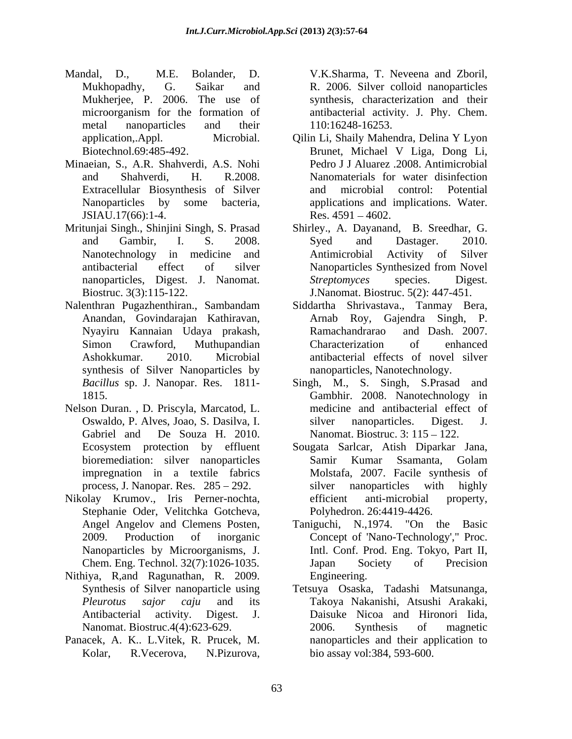- Mandal, D., M.E. Bolander, D. V.K.Sharma, T. Neveena and Zboril, Mukhopadhy, G. Saikar and R. 2006. Silver colloid nanoparticles Mukherjee, P. 2006. The use of synthesis, characterization and their microorganism for the formation of antibacterial activity. J. Phy. Chem. metal nanoparticles and their 110:16248-16253.
- Minaeian, S., A.R. Shahverdi, A.S. Nohi JSIAU.17(66):1-4.
- Mritunjai Singh., Shinjini Singh, S. Prasad Shirley., A. Dayanand, B. Sreedhar, G.
- Nalenthran Pugazhenthiran., Sambandam Siddartha Shrivastava., Tanmay Bera, synthesis of Silver Nanoparticles by Add, D., M.F. Folontofo, Digital, T. Vecerova, N. Neveton and the<br>single-policies in the symbolic and the symbolic control in the symbolic<br>distribution and the formula of anticoparatic and the method, cancered<br>ratio of th
- Nelson Duran. , D. Priscyla, Marcatod, L.
- Nikolay Krumov., Iris Perner-nochta, Stephanie Oder, Velitchka Gotcheva,
- Nithiya, R,and Ragunathan, R. 2009.
- Panacek, A. K.. L.Vitek, R. Prucek, M.

110:16248-16253.

- application,.Appl. Microbial. Qilin Li, Shaily Mahendra, Delina Y Lyon Biotechnol.69:485-492. Brunet, Michael V Liga, Dong Li, and Shahverdi, H. R.2008. Nanomaterials for water disinfection<br>Extracellular Biosynthesis of Silver and microbial control: Potential Nanoparticles by some bacteria, applications and implications. Water. Pedro J J Aluarez .2008. Antimicrobial Nanomaterials for water disinfection and microbial control: Potential Res.  $4591 - 4602$ .
- and Gambir, I. S. 2008. Nanotechnology in medicine and Antimicrobial Activity of Silver antibacterial effect of silver nanoparticles, Digest. J. Nanomat. Streptomyces species. Digest. Biostruc. 3(3):115-122. J.Nanomat. Biostruc. 5(2): 447-451. Syed and Dastager. 2010. Antimicrobial Activity of Silver Nanoparticles Synthesized from Novel *Streptomyces* species. Digest.
- Anandan, Govindarajan Kathiravan, Arnab Roy, Gajendra Singh, P. Nyayiru Kannaian Udaya prakash, Simon Crawford, Muthupandian Characterization of enhanced Ashokkumar. 2010. Microbial antibacterial effects of novel silver Ramachandrarao and Dash. 2007. Characterization of enhanced nanoparticles, Nanotechnology.
- *Bacillus* sp. J. Nanopar. Res. 1811- Singh, M., S. Singh, S.Prasad and 1815. Gambhir. 2008. Nanotechnology in Oswaldo, P. Alves, Joao, S. Dasilva, I. Gabriel and De Souza H. 2010. Nanomat. Biostruc. 3: 115 – 122. medicine and antibacterial effect of silver nanoparticles. Digest. J.
- Ecosystem protection by effluent Sougata Sarlcar, Atish Diparkar Jana, bioremediation: silver nanoparticles impregnation in a textile fabrics Molstafa, 2007. Facile synthesis of process, J. Nanopar. Res. 285 – 292. Silver nanoparticles with highly Samir Kumar Ssamanta, Golam silver nanoparticles with highly efficient anti-microbial property, Polyhedron. 26:4419-4426.
- Angel Angelov and Clemens Posten, Taniguchi, N.,1974. "On the Basic 2009. Production of inorganic Concept of 'Nano-Technology'," Proc. Nanoparticles by Microorganisms, J. Intl. Conf. Prod. Eng. Tokyo, Part II, Chem. Eng. Technol. 32(7):1026-1035. Japan Society of Precision Engineering.
- Synthesis of Silver nanoparticle using Tetsuya Osaska, Tadashi Matsunanga, *Pleurotus sajor caju* and its Takoya Nakanishi, Atsushi Arakaki, Antibacterial activity. Digest. J. Daisuke Nicoa and Hironori Iida, Nanomat. Biostruc.4(4):623-629. 2006. Synthesis of magnetic 2006. Synthesis of magnetic nanoparticles and their application to bio assay vol:384, 593-600.